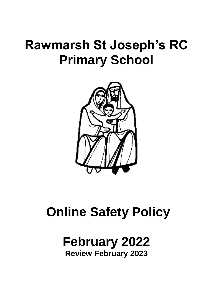# **Rawmarsh St Joseph's RC Primary School**



# **Online Safety Policy**

# **February 2022 Review February 2023**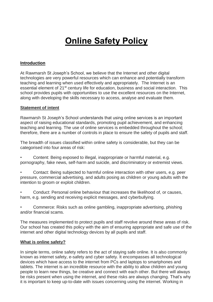# **Online Safety Policy**

#### **Introduction**

At Rawmarsh St Joseph's School, we believe that the Internet and other digital technologies are very powerful resources which can enhance and potentially transform teaching and learning when used effectively and appropriately. The Internet is an essential element of 21<sup>st</sup> century life for education, business and social interaction. This school provides pupils with opportunities to use the excellent resources on the Internet, along with developing the skills necessary to access, analyse and evaluate them.

#### **Statement of intent**

Rawmarsh St Joseph's School understands that using online services is an important aspect of raising educational standards, promoting pupil achievement, and enhancing teaching and learning. The use of online services is embedded throughout the school; therefore, there are a number of controls in place to ensure the safety of pupils and staff.

The breadth of issues classified within online safety is considerable, but they can be categorised into four areas of risk:

• Content: Being exposed to illegal, inappropriate or harmful material, e.g. pornography, fake news, self-harm and suicide, and discriminatory or extremist views.

• Contact: Being subjected to harmful online interaction with other users, e.g. peer pressure, commercial advertising, and adults posing as children or young adults with the intention to groom or exploit children.

• Conduct: Personal online behaviour that increases the likelihood of, or causes, harm, e.g. sending and receiving explicit messages, and cyberbullying.

• Commerce: Risks such as online gambling, inappropriate advertising, phishing and/or financial scams.

The measures implemented to protect pupils and staff revolve around these areas of risk. Our school has created this policy with the aim of ensuring appropriate and safe use of the internet and other digital technology devices by all pupils and staff.

#### **What is online safety?**

In simple terms, online safety refers to the act of staying safe online. It is also commonly known as internet safety, e-safety and cyber safety. It encompasses all technological devices which have access to the internet from PCs and laptops to smartphones and tablets. The internet is an incredible resource with the ability to allow children and young people to learn new things, be creative and connect with each other. But there will always be risks present when using the internet, and these risks are always changing. That's why it is important to keep up-to-date with issues concerning using the internet. Working in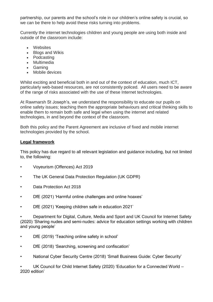partnership, our parents and the school's role in our children's online safety is crucial, so we can be there to help avoid these risks turning into problems.

Currently the internet technologies children and young people are using both inside and outside of the classroom include:

- Websites
- Blogs and Wikis
- Podcasting
- Multimedia
- Gaming
- Mobile devices

Whilst exciting and beneficial both in and out of the context of education, much ICT, particularly web-based resources, are not consistently policed. All users need to be aware of the range of risks associated with the use of these Internet technologies.

At Rawmarsh St Joseph's, we understand the responsibility to educate our pupils on online safety issues; teaching them the appropriate behaviours and critical thinking skills to enable them to remain both safe and legal when using the internet and related technologies, in and beyond the context of the classroom.

Both this policy and the Parent Agreement are inclusive of fixed and mobile internet technologies provided by the school.

#### **Legal framework**

This policy has due regard to all relevant legislation and guidance including, but not limited to, the following:

- Voyeurism (Offences) Act 2019
- The UK General Data Protection Regulation (UK GDPR)
- Data Protection Act 2018
- DfE (2021) 'Harmful online challenges and online hoaxes'
- DfE (2021) 'Keeping children safe in education 2021'

• Department for Digital, Culture, Media and Sport and UK Council for Internet Safety (2020) 'Sharing nudes and semi-nudes: advice for education settings working with children and young people'

- DfE (2019) 'Teaching online safety in school'
- DfE (2018) 'Searching, screening and confiscation'
- National Cyber Security Centre (2018) 'Small Business Guide: Cyber Security'

UK Council for Child Internet Safety (2020) 'Education for a Connected World -2020 edition'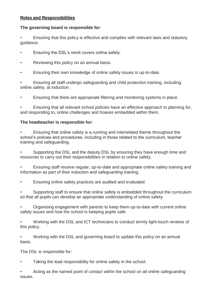# **Roles and Responsibilities**

# **The governing board is responsible for**:

• Ensuring that this policy is effective and complies with relevant laws and statutory guidance.

- Ensuring the DSL's remit covers online safety.
- Reviewing this policy on an annual basis.
- Ensuring their own knowledge of online safety issues is up-to-date.

• Ensuring all staff undergo safeguarding and child protection training, including online safety, at induction.

• Ensuring that there are appropriate filtering and monitoring systems in place.

• Ensuring that all relevant school policies have an effective approach to planning for, and responding to, online challenges and hoaxes embedded within them.

# **The headteacher is responsible for:**

• Ensuring that online safety is a running and interrelated theme throughout the school's policies and procedures, including in those related to the curriculum, teacher training and safeguarding.

• Supporting the DSL and the deputy DSL by ensuring they have enough time and resources to carry out their responsibilities in relation to online safety.

• Ensuring staff receive regular, up-to-date and appropriate online safety training and information as part of their induction and safeguarding training.

• Ensuring online safety practices are audited and evaluated.

• Supporting staff to ensure that online safety is embedded throughout the curriculum so that all pupils can develop an appropriate understanding of online safety.

• Organising engagement with parents to keep them up-to-date with current online safety issues and how the school is keeping pupils safe.

• Working with the DSL and ICT technicians to conduct termly light-touch reviews of this policy.

• Working with the DSL and governing board to update this policy on an annual basis.

The DSL is responsible for:

Taking the lead responsibility for online safety in the school.

• Acting as the named point of contact within the school on all online safeguarding issues.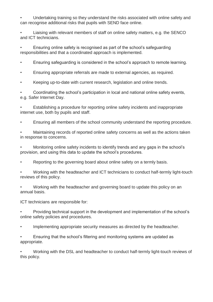• Undertaking training so they understand the risks associated with online safety and can recognise additional risks that pupils with SEND face online.

• Liaising with relevant members of staff on online safety matters, e.g. the SENCO and ICT technicians.

• Ensuring online safety is recognised as part of the school's safeguarding responsibilities and that a coordinated approach is implemented.

• Ensuring safeguarding is considered in the school's approach to remote learning.

• Ensuring appropriate referrals are made to external agencies, as required.

• Keeping up-to-date with current research, legislation and online trends.

• Coordinating the school's participation in local and national online safety events, e.g. Safer Internet Day.

• Establishing a procedure for reporting online safety incidents and inappropriate internet use, both by pupils and staff.

• Ensuring all members of the school community understand the reporting procedure.

• Maintaining records of reported online safety concerns as well as the actions taken in response to concerns.

• Monitoring online safety incidents to identify trends and any gaps in the school's provision, and using this data to update the school's procedures.

• Reporting to the governing board about online safety on a termly basis.

• Working with the headteacher and ICT technicians to conduct half-termly light-touch reviews of this policy.

• Working with the headteacher and governing board to update this policy on an annual basis.

ICT technicians are responsible for:

• Providing technical support in the development and implementation of the school's online safety policies and procedures.

Implementing appropriate security measures as directed by the headteacher.

• Ensuring that the school's filtering and monitoring systems are updated as appropriate.

• Working with the DSL and headteacher to conduct half-termly light-touch reviews of this policy.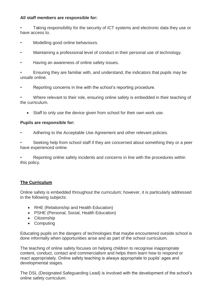### **All staff members are responsible for:**

• Taking responsibility for the security of ICT systems and electronic data they use or have access to.

- Modelling good online behaviours.
- Maintaining a professional level of conduct in their personal use of technology.
- Having an awareness of online safety issues.

• Ensuring they are familiar with, and understand, the indicators that pupils may be unsafe online.

Reporting concerns in line with the school's reporting procedure.

Where relevant to their role, ensuring online safety is embedded in their teaching of the curriculum.

• Staff to only use the device given from school for their own work use.

#### **Pupils are responsible for:**

• Adhering to the Acceptable Use Agreement and other relevant policies.

Seeking help from school staff if they are concerned about something they or a peer have experienced online.

Reporting online safety incidents and concerns in line with the procedures within this policy.

# **The Curriculum**

Online safety is embedded throughout the curriculum; however, it is particularly addressed in the following subjects:

- RHE (Relationship and Health Education)
- PSHE (Personal, Social, Health Education)
- Citizenship
- Computing

Educating pupils on the dangers of technologies that maybe encountered outside school is done informally when opportunities arise and as part of the school curriculum.

The teaching of online safety focuses on helping children to recognise inappropriate content, conduct, contact and commercialism and helps them learn how to respond or react appropriately. Online safety teaching is always appropriate to pupils' ages and developmental stages.

The DSL (Designated Safeguarding Lead) is involved with the development of the school's online safety curriculum.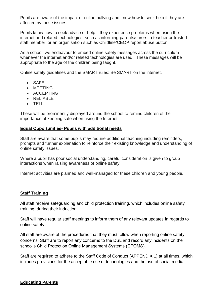Pupils are aware of the impact of online bullying and know how to seek help if they are affected by these issues.

Pupils know how to seek advice or help if they experience problems when using the internet and related technologies, such as informing parents/carers, a teacher or trusted staff member, or an organisation such as Childline/CEOP report abuse button.

As a school, we endeavour to embed online safety messages across the curriculum whenever the internet and/or related technologies are used. These messages will be appropriate to the age of the children being taught.

Online safety guidelines and the SMART rules: Be SMART on the internet.

- SAFE
- MEETING
- ACCEPTING
- RELIABLE
- TELL

These will be prominently displayed around the school to remind children of the importance of keeping safe when using the Internet.

#### **Equal Opportunities- Pupils with additional needs**

Staff are aware that some pupils may require additional teaching including reminders, prompts and further explanation to reinforce their existing knowledge and understanding of online safety issues.

Where a pupil has poor social understanding, careful consideration is given to group interactions when raising awareness of online safety.

Internet activities are planned and well-managed for these children and young people.

#### **Staff Training**

All staff receive safeguarding and child protection training, which includes online safety training, during their induction.

Staff will have regular staff meetings to inform them of any relevant updates in regards to online safety.

All staff are aware of the procedures that they must follow when reporting online safety concerns. Staff are to report any concerns to the DSL and record any incidents on the school's Child Protection Online Management Systems (CPOMS).

Staff are required to adhere to the Staff Code of Conduct (APPENDIX 1) at all times, which includes provisions for the acceptable use of technologies and the use of social media.

#### **Educating Parents**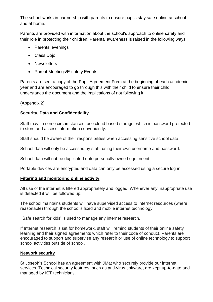The school works in partnership with parents to ensure pupils stay safe online at school and at home.

Parents are provided with information about the school's approach to online safety and their role in protecting their children. Parental awareness is raised in the following ways:

- Parents' evenings
- Class Dojo
- Newsletters
- Parent Meetings/E-safety Events

Parents are sent a copy of the Pupil Agreement Form at the beginning of each academic year and are encouraged to go through this with their child to ensure their child understands the document and the implications of not following it.

(Appendix 2)

# **Security, Data and Confidentiality**

Staff may, in some circumstances, use cloud based storage, which is password protected to store and access information conveniently.

Staff should be aware of their responsibilities when accessing sensitive school data.

School data will only be accessed by staff, using their own username and password.

School data will not be duplicated onto personally owned equipment.

Portable devices are encrypted and data can only be accessed using a secure log in.

# **Filtering and monitoring online activity**

All use of the internet is filtered appropriately and logged. Whenever any inappropriate use is detected it will be followed up.

The school maintains students will have supervised access to Internet resources (where reasonable) through the school's fixed and mobile internet technology.

'Safe search for kids' is used to manage any internet research.

If Internet research is set for homework, staff will remind students of their online safety learning and their signed agreements which refer to their code of conduct. Parents are encouraged to support and supervise any research or use of online technology to support school activities outside of school.

# **Network security**

St Joseph's School has an agreement with JMat who securely provide our internet services. Technical security features, such as anti-virus software, are kept up-to-date and managed by ICT technicians.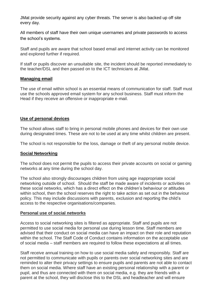JMat provide security against any cyber threats. The server is also backed up off site every day.

All members of staff have their own unique usernames and private passwords to access the school's systems.

Staff and pupils are aware that school based email and internet activity can be monitored and explored further if required.

If staff or pupils discover an unsuitable site, the incident should be reported immediately to the teacher/DSL and then passed on to the ICT technicians at JMat.

#### **Managing email**

The use of email within school is an essential means of communication for staff. Staff must use the schools approved email system for any school business. Staff must inform the Head if they receive an offensive or inappropriate e-mail.

# **Use of personal devices**

The school allows staff to bring in personal mobile phones and devices for their own use during designated times. These are not to be used at any time whilst children are present.

The school is not responsible for the loss, damage or theft of any personal mobile device.

#### **Social Networking**

The school does not permit the pupils to access their private accounts on social or gaming networks at any time during the school day.

The school also strongly discourages children from using age inappropriate social networking outside of school. Should the staff be made aware of incidents or activities on these social networks, which has a direct effect on the children's behaviour or attitudes within school, then the school reserves the right to take action as set out in the behaviour policy. This may include discussions with parents, exclusion and reporting the child's access to the respective organisations/companies.

#### **Personal use of social networks**

Access to social networking sites is filtered as appropriate. Staff and pupils are not permitted to use social media for personal use during lesson time. Staff members are advised that their conduct on social media can have an impact on their role and reputation within the school. The Staff Code of Conduct contains information on the acceptable use of social media – staff members are required to follow these expectations at all times.

Staff receive annual training on how to use social media safely and responsibly. Staff are not permitted to communicate with pupils or parents over social networking sites and are reminded to alter their privacy settings to ensure pupils and parents are not able to contact them on social media. Where staff have an existing personal relationship with a parent or pupil, and thus are connected with them on social media, e.g. they are friends with a parent at the school, they will disclose this to the DSL and headteacher and will ensure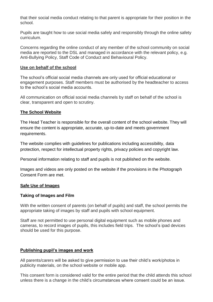that their social media conduct relating to that parent is appropriate for their position in the school.

Pupils are taught how to use social media safely and responsibly through the online safety curriculum.

Concerns regarding the online conduct of any member of the school community on social media are reported to the DSL and managed in accordance with the relevant policy, e.g. Anti-Bullying Policy, Staff Code of Conduct and Behavioural Policy.

#### **Use on behalf of the school**

The school's official social media channels are only used for official educational or engagement purposes. Staff members must be authorised by the headteacher to access to the school's social media accounts.

All communication on official social media channels by staff on behalf of the school is clear, transparent and open to scrutiny.

#### **The School Website**

The Head Teacher is responsible for the overall content of the school website. They will ensure the content is appropriate, accurate, up-to-date and meets government requirements.

The website complies with guidelines for publications including accessibility, data protection, respect for intellectual property rights, privacy policies and copyright law.

Personal information relating to staff and pupils is not published on the website.

Images and videos are only posted on the website if the provisions in the Photograph Consent Form are met.

#### **Safe Use of Images**

#### **Taking of Images and Film**

With the written consent of parents (on behalf of pupils) and staff, the school permits the appropriate taking of images by staff and pupils with school equipment.

Staff are not permitted to use personal digital equipment such as mobile phones and cameras, to record images of pupils, this includes field trips. The school's ipad devices should be used for this purpose.

# **Publishing pupil's images and work**

All parents/carers will be asked to give permission to use their child's work/photos in publicity materials, on the school website or mobile app.

This consent form is considered valid for the entire period that the child attends this school unless there is a change in the child's circumstances where consent could be an issue.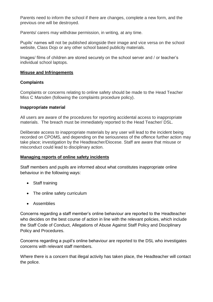Parents need to inform the school if there are changes, complete a new form, and the previous one will be destroyed.

Parents/ carers may withdraw permission, in writing, at any time.

Pupils' names will not be published alongside their image and vice versa on the school website, Class Dojo or any other school based publicity materials.

Images/ films of children are stored securely on the school server and / or teacher's individual school laptops.

#### **Misuse and Infringements**

#### **Complaints**

Complaints or concerns relating to online safety should be made to the Head Teacher Miss C Marsden (following the complaints procedure policy).

#### **Inappropriate material**

All users are aware of the procedures for reporting accidental access to inappropriate materials. The breach must be immediately reported to the Head Teacher/ DSL.

Deliberate access to inappropriate materials by any user will lead to the incident being recorded on CPOMS, and depending on the seriousness of the offence further action may take place; investigation by the Headteacher/Diocese. Staff are aware that misuse or misconduct could lead to disciplinary action.

# **Managing reports of online safety incidents**

Staff members and pupils are informed about what constitutes inappropriate online behaviour in the following ways:

- Staff training
- The online safety curriculum
- **•** Assemblies

Concerns regarding a staff member's online behaviour are reported to the Headteacher who decides on the best course of action in line with the relevant policies, which include the Staff Code of Conduct, Allegations of Abuse Against Staff Policy and Disciplinary Policy and Procedures.

Concerns regarding a pupil's online behaviour are reported to the DSL who investigates concerns with relevant staff members.

Where there is a concern that illegal activity has taken place, the Headteacher will contact the police.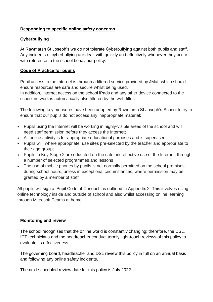# **Responding to specific online safety concerns**

# **Cyberbullying**

At Rawmarsh St Joseph's we do not tolerate Cyberbullying against both pupils and staff. Any incidents of cyberbullying are dealt with quickly and effectively whenever they occur with reference to the school behaviour policy.

# **Code of Practice for pupils**

Pupil access to the Internet is through a filtered service provided by JMat, which should ensure resources are safe and secure whilst being used.

In addition, internet access on the school iPads and any other device connected to the school network is automatically also filtered by the web filter.

The following key measures have been adopted by Rawmarsh St Joseph's School to try to ensure that our pupils do not access any inappropriate material:

- Pupils using the Internet will be working in highly-visible areas of the school and will need staff permission before they access the Internet;
- All online activity is for appropriate educational purposes and is supervised
- Pupils will, where appropriate, use sites pre-selected by the teacher and appropriate to their age group;
- Pupils in Key Stage 2 are educated on the safe and effective use of the Internet, through a number of selected programmes and lessons
- The use of mobile phones by pupils is not normally permitted on the school premises during school hours, unless in exceptional circumstances, where permission may be granted by a member of staff

All pupils will sign a 'Pupil Code of Conduct' as outlined in Appendix 2. This involves using online technology inside and outside of school and also whilst accessing online learning through Microsoft Teams at home

# **Monitoring and review**

The school recognises that the online world is constantly changing; therefore, the DSL, ICT technicians and the headteacher conduct termly light-touch reviews of this policy to evaluate its effectiveness.

The governing board, headteacher and DSL review this policy in full on an annual basis and following any online safety incidents.

The next scheduled review date for this policy is July 2022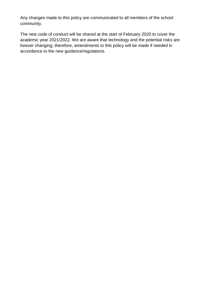Any changes made to this policy are communicated to all members of the school community.

The new code of conduct will be shared at the start of February 2020 to cover the academic year 2021/2022. We are aware that technology and the potential risks are forever changing; therefore, amendments to this policy will be made if needed in accordance to the new guidance/regulations.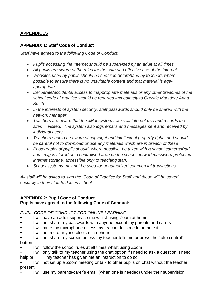# **APPENDICES**

# **APPENDIX 1: Staff Code of Conduct**

*Staff have agreed to the following Code of Conduct:*

- *Pupils accessing the Internet should be supervised by an adult at all times*
- *All pupils are aware of the rules for the safe and effective use of the Internet*
- *Websites used by pupils should be checked beforehand by teachers where possible to ensure there is no unsuitable content and that material is ageappropriate*
- *Deliberate/accidental access to inappropriate materials or any other breaches of the school code of practice should be reported immediately to Christie Marsden/ Anna Smith*
- *In the interests of system security, staff passwords should only be shared with the network manager*
- *Teachers are aware that the JMat system tracks all Internet use and records the sites visited. The system also logs emails and messages sent and received by individual users*
- *Teachers should be aware of copyright and intellectual property rights and should be careful not to download or use any materials which are in breach of these*
- *Photographs of pupils should, where possible, be taken with a school camera/iPad and images stored on a centralised area on the school network/password protected internet storage, accessible only to teaching staff.*
- *School systems may not be used for unauthorized commercial transactions*

*All staff will be asked to sign the 'Code of Practice for Staff' and these will be stored securely in their staff folders in school.*

# **APPENDIX 2: Pupil Code of Conduct Pupils have agreed to the following Code of Conduct:**

# *PUPIL CODE OF CONDUCT FOR ONLINE LEARNING*

- *•* I will have an adult supervise me whilst using Zoom at home
- I will not share my passwords with anyone except my parents and carers
- I will mute my microphone unless my teacher tells me to unmute it
- I will not mute anyone else's microphone
- I will not share my screen unless my teacher tells me or press the 'take control' button
- I will follow the school rules at all times whilst using Zoom
- I will only talk to my teacher using the chat option if I need to ask a question, I need help or my teacher has given me an instruction to do so
- I will not set up a Zoom meeting or talk to other pupils on chat without the teacher present
- I will use my parents/carer's email (when one is needed) under their supervision